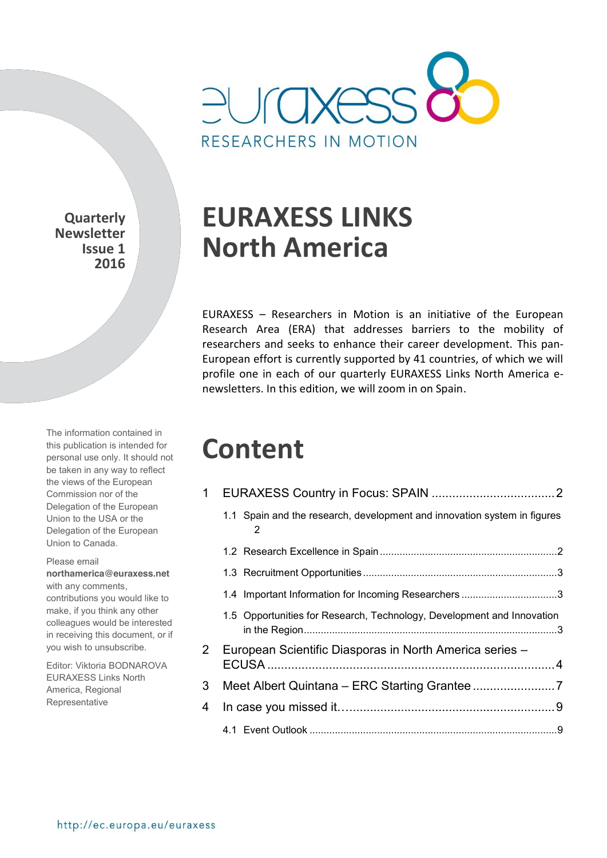

**Quarterly Newsletter Issue 1 2016** 

The information contained in this publication is intended for personal use only. It should not be taken in any way to reflect the views of the European Commission nor of the Delegation of the European Union to the USA or the Delegation of the European Union to Canada.

#### Please email

**northamerica@euraxess.net** with any comments,

contributions you would like to make, if you think any other colleagues would be interested in receiving this document, or if you wish to unsubscribe.

Editor: Viktoria BODNAROVA EURAXESS Links North America, Regional Representative

# **EURAXESS LINKS North America**

EURAXESS – Researchers in Motion is an initiative of the European Research Area (ERA) that addresses barriers to the mobility of researchers and seeks to enhance their career development. This pan-European effort is currently supported by 41 countries, of which we will profile one in each of our quarterly EURAXESS Links North America enewsletters. In this edition, we will zoom in on Spain.

# **Content**

| 1              |                                                                               |  |  |  |  |  |
|----------------|-------------------------------------------------------------------------------|--|--|--|--|--|
|                | 1.1 Spain and the research, development and innovation system in figures<br>2 |  |  |  |  |  |
|                |                                                                               |  |  |  |  |  |
|                |                                                                               |  |  |  |  |  |
|                | 1.4 Important Information for Incoming Researchers 3                          |  |  |  |  |  |
|                | 1.5 Opportunities for Research, Technology, Development and Innovation        |  |  |  |  |  |
| $\mathbf{2}^-$ | European Scientific Diasporas in North America series -                       |  |  |  |  |  |
| 3              |                                                                               |  |  |  |  |  |
| 4              |                                                                               |  |  |  |  |  |
|                |                                                                               |  |  |  |  |  |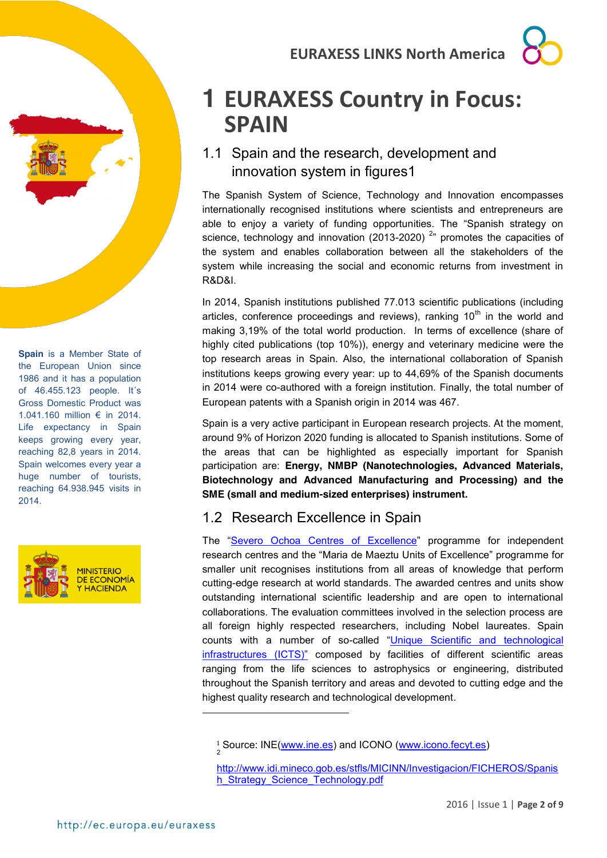# <span id="page-1-0"></span>**1 EURAXESS Country in Focus: SPAIN**

### <span id="page-1-1"></span>1.1 Spain and the research, development and innovation system in figures1

The Spanish System of Science, Technology and Innovation encompasses internationally recognised institutions where scientists and entrepreneurs are able to enjoy a variety of funding opportunities. The "Spanish strategy on science, technology and innovation (2013-2020)<sup>2</sup> promotes the capacities of the system and enables collaboration between all the stakeholders of the system while increasing the social and economic returns from investment in R&D&I.

In 2014, Spanish institutions published 77.013 scientific publications (including articles, conference proceedings and reviews), ranking  $10<sup>th</sup>$  in the world and making 3,19% of the total world production. In terms of excellence (share of highly cited publications (top 10%)), energy and veterinary medicine were the top research areas in Spain. Also, the international collaboration of Spanish institutions keeps growing every year: up to 44,69% of the Spanish documents in 2014 were co-authored with a foreign institution. Finally, the total number of European patents with a Spanish origin in 2014 was 467.

Spain is a very active participant in European research projects. At the moment, around 9% of Horizon 2020 funding is allocated to Spanish institutions. Some of the areas that can be highlighted as especially important for Spanish participation are: **Energy, NMBP (Nanotechnologies, Advanced Materials, Biotechnology and Advanced Manufacturing and Processing) and the SME (small and medium-sized enterprises) instrument.**

### <span id="page-1-2"></span>1.2 Research Excellence in Spain

The "[Severo Ochoa Centres of Excellence](http://www.idi.mineco.gob.es/portal/site/MICINN/menuitem.7eeac5cd345b4f34f09dfd1001432ea0/?vgnextoid=cba733a6368c2310VgnVCM1000001d04140aRCRD&lang_choosen=en)" programme for independent research centres and the "Maria de Maeztu Units of Excellence" programme for smaller unit recognises institutions from all areas of knowledge that perform cutting-edge research at world standards. The awarded centres and units show outstanding international scientific leadership and are open to international collaborations. The evaluation committees involved in the selection process are all foreign highly respected researchers, including Nobel laureates. Spain counts with a number of so-called "[Unique Scientific and technological](http://www.idi.mineco.gob.es/stfls/MICINN/Innovacion/FICHEROS/Mapa_ICTS_web_ingles.pdf)  [infrastructures](http://www.idi.mineco.gob.es/stfls/MICINN/Innovacion/FICHEROS/Mapa_ICTS_web_ingles.pdf) (ICTS)" composed by facilities of different scientific areas ranging from the life sciences to astrophysics or engineering, distributed throughout the Spanish territory and areas and devoted to cutting edge and the highest quality research and technological development.

**Spain** is a Member State of the European Union since 1986 and it has a population of 46.455.123 people. It´s Gross Domestic Product was 1.041.160 million € in 2014. Life expectancy in Spain keeps growing every year, reaching 82,8 years in 2014. Spain welcomes every year a huge number of tourists, reaching 64.938.945 visits in 2014.



-

<sup>&</sup>lt;sup>1</sup> Source: INE[\(www.ine.es\)](http://www.ine.es/) and ICONO [\(www.icono.fecyt.es\)](http://www.icono.fecyt.es/)

[http://www.idi.mineco.gob.es/stfls/MICINN/Investigacion/FICHEROS/Spanis](http://www.idi.mineco.gob.es/stfls/MICINN/Investigacion/FICHEROS/Spanish_Strategy_Science_Technology.pdf) h Strategy Science Technology.pdf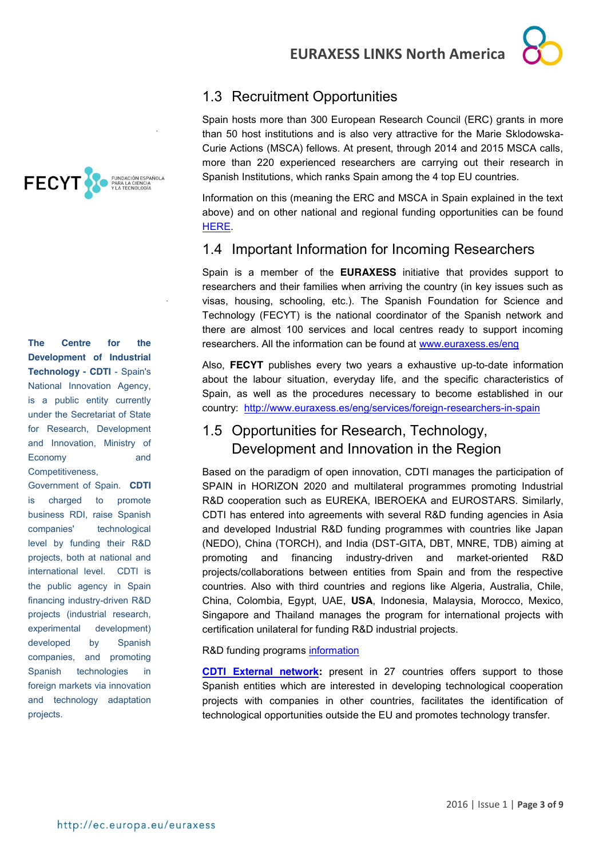



.

.

**The Centre for the Development of Industrial Technology - CDTI** - Spain's National Innovation Agency, is a public entity currently under the Secretariat of State for Research, Development and Innovation, Ministry of Economy and Competitiveness,

Government of Spain. **CDTI** is charged to promote business RDI, raise Spanish companies' technological level by funding their R&D projects, both at national and international level. CDTI is the public agency in Spain financing industry-driven R&D projects (industrial research, experimental development) developed by Spanish companies, and promoting Spanish technologies in foreign markets via innovation and technology adaptation projects.

## <span id="page-2-0"></span>1.3 Recruitment Opportunities

Spain hosts more than 300 European Research Council (ERC) grants in more than 50 host institutions and is also very attractive for the Marie Sklodowska-Curie Actions (MSCA) fellows. At present, through 2014 and 2015 MSCA calls, more than 220 experienced researchers are carrying out their research in Spanish Institutions, which ranks Spain among the 4 top EU countries.

Information on this (meaning the ERC and MSCA in Spain explained in the text above) and on other national and regional funding opportunities can be found [HERE.](http://bit.ly/FundingSPAIN)

### <span id="page-2-1"></span>1.4 Important Information for Incoming Researchers

Spain is a member of the **EURAXESS** initiative that provides support to researchers and their families when arriving the country (in key issues such as visas, housing, schooling, etc.). The Spanish Foundation for Science and Technology (FECYT) is the national coordinator of the Spanish network and there are almost 100 services and local centres ready to support incoming researchers. All the information can be found at [www.euraxess.es/eng](http://www.euraxess.es/eng)

Also, **FECYT** publishes every two years a exhaustive up-to-date information about the labour situation, everyday life, and the specific characteristics of Spain, as well as the procedures necessary to become established in our country: <http://www.euraxess.es/eng/services/foreign-researchers-in-spain>

### <span id="page-2-2"></span>1.5 Opportunities for Research, Technology, Development and Innovation in the Region

Based on the paradigm of open innovation, CDTI manages the participation of SPAIN in HORIZON 2020 and multilateral programmes promoting Industrial R&D cooperation such as EUREKA, IBEROEKA and EUROSTARS. Similarly, CDTI has entered into agreements with several R&D funding agencies in Asia and developed Industrial R&D funding programmes with countries like Japan (NEDO), China (TORCH), and India (DST-GITA, DBT, MNRE, TDB) aiming at promoting and financing industry-driven and market-oriented R&D projects/collaborations between entities from Spain and from the respective countries. Also with third countries and regions like Algeria, Australia, Chile, China, Colombia, Egypt, UAE, **USA**, Indonesia, Malaysia, Morocco, Mexico, Singapore and Thailand manages the program for international projects with certification unilateral for funding R&D industrial projects.

### R&D funding programs [information](http://www.cdti.es/index.asp?MP=7&MS=563&MN=3)

**[CDTI External network:](http://www.cdti.es/index.asp?MP=8&MS=155&MN=2)** present in 27 countries offers support to those Spanish entities which are interested in developing technological cooperation projects with companies in other countries, facilitates the identification of technological opportunities outside the EU and promotes technology transfer.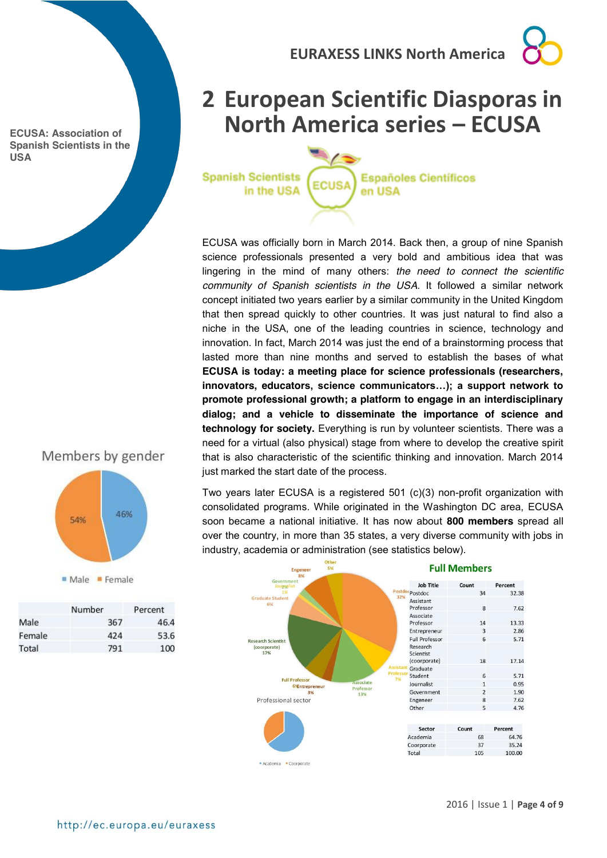**ECUSA: Association of Spanish Scientists in the USA**



# <span id="page-3-0"></span>**2 European Scientific Diasporas in North America series – ECUSA**

**Spanish Scientists** in the USA

**Españoles Científicos ECUSA** en USA

ECUSA was officially born in March 2014. Back then, a group of nine Spanish science professionals presented a very bold and ambitious idea that was lingering in the mind of many others: *the need to connect the scientific community of Spanish scientists in the USA*. It followed a similar network concept initiated two years earlier by a similar community in the United Kingdom that then spread quickly to other countries. It was just natural to find also a niche in the USA, one of the leading countries in science, technology and innovation. In fact, March 2014 was just the end of a brainstorming process that lasted more than nine months and served to establish the bases of what **ECUSA is today: a meeting place for science professionals (researchers, innovators, educators, science communicators…); a support network to promote professional growth; a platform to engage in an interdisciplinary dialog; and a vehicle to disseminate the importance of science and technology for society.** Everything is run by volunteer scientists. There was a need for a virtual (also physical) stage from where to develop the creative spirit that is also characteristic of the scientific thinking and innovation. March 2014 just marked the start date of the process.

Two years later ECUSA is a registered 501 (c)(3) non-profit organization with consolidated programs. While originated in the Washington DC area, ECUSA soon became a national initiative. It has now about **800 members** spread all over the country, in more than 35 states, a very diverse community with jobs in industry, academia or administration (see statistics below).



Academia Coorporate

http://ec.europa.eu/euraxess

Members by gender

54%

Male Female

367

424

791

Number

Male

Total

Female

46%

Percent

46.4

53.6

100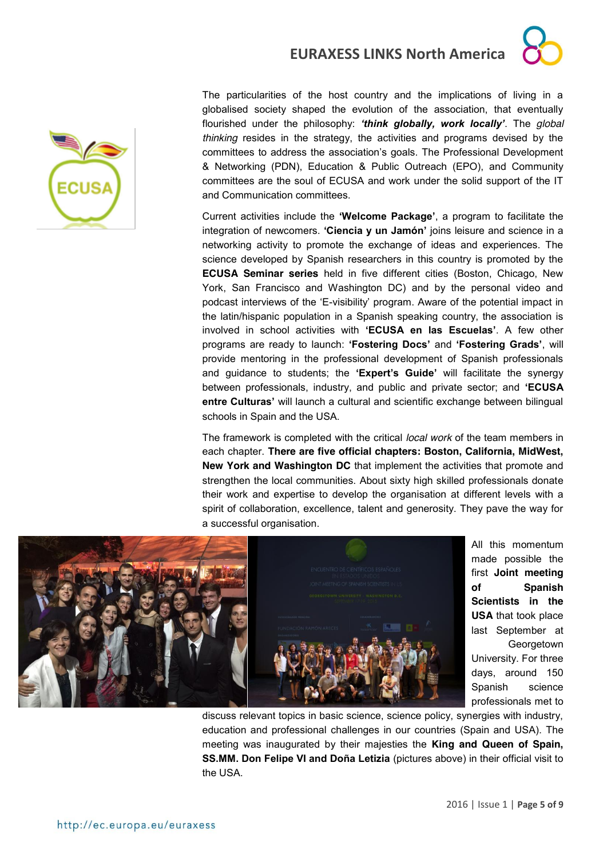



The particularities of the host country and the implications of living in a globalised society shaped the evolution of the association, that eventually flourished under the philosophy: *'think globally, work locally'*. The *global thinking* resides in the strategy, the activities and programs devised by the committees to address the association's goals. The Professional Development & Networking (PDN), Education & Public Outreach (EPO), and Community committees are the soul of ECUSA and work under the solid support of the IT and Communication committees.

Current activities include the **'Welcome Package'**, a program to facilitate the integration of newcomers. **'Ciencia y un Jamón'** joins leisure and science in a networking activity to promote the exchange of ideas and experiences. The science developed by Spanish researchers in this country is promoted by the **ECUSA Seminar series** held in five different cities (Boston, Chicago, New York, San Francisco and Washington DC) and by the personal video and podcast interviews of the 'E-visibility' program. Aware of the potential impact in the latin/hispanic population in a Spanish speaking country, the association is involved in school activities with **'ECUSA en las Escuelas'**. A few other programs are ready to launch: **'Fostering Docs'** and **'Fostering Grads'**, will provide mentoring in the professional development of Spanish professionals and guidance to students; the **'Expert's Guide'** will facilitate the synergy between professionals, industry, and public and private sector; and **'ECUSA entre Culturas'** will launch a cultural and scientific exchange between bilingual schools in Spain and the USA.

The framework is completed with the critical *local work* of the team members in each chapter. **There are five official chapters: Boston, California, MidWest, New York and Washington DC** that implement the activities that promote and strengthen the local communities. About sixty high skilled professionals donate their work and expertise to develop the organisation at different levels with a spirit of collaboration, excellence, talent and generosity. They pave the way for a successful organisation.



All this momentum made possible the first **Joint meeting of Spanish Scientists in the USA** that took place last September at **Georgetown** University. For three days, around 150 Spanish science professionals met to

discuss relevant topics in basic science, science policy, synergies with industry, education and professional challenges in our countries (Spain and USA). The meeting was inaugurated by their majesties the **King and Queen of Spain, SS.MM. Don Felipe VI and Doña Letizia** (pictures above) in their official visit to the USA.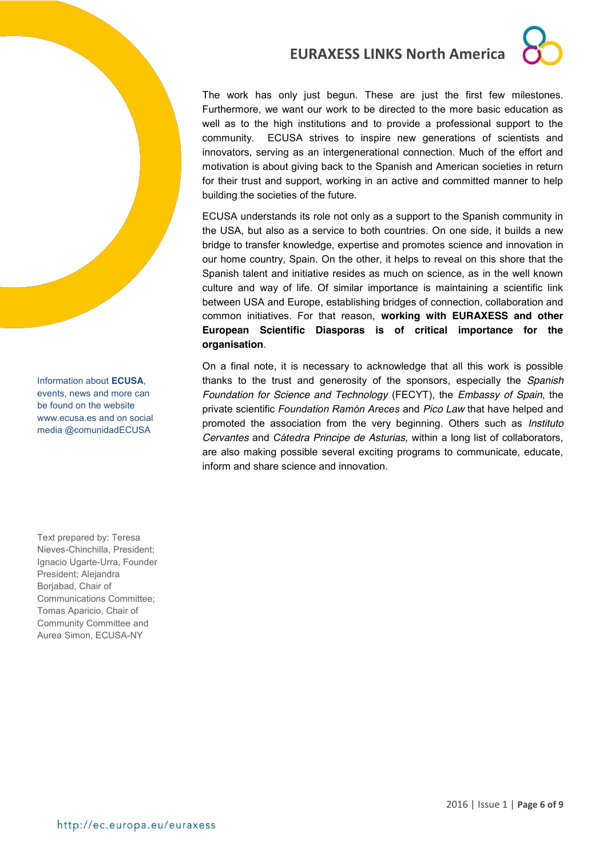

Information about **ECUSA**, events, news and more can be found on the website [www.ecusa.es](http://www.ecusa.es/) and on social media @comunidadECUSA

Text prepared by: Teresa Nieves-Chinchilla, President; Ignacio Ugarte-Urra, Founder President; Alejandra Borjabad, Chair of Communications Committee; Tomas Aparicio, Chair of Community Committee and Aurea Simon, ECUSA-NY

### **EURAXESS LINKS North America**



The work has only just begun. These are just the first few milestones. Furthermore, we want our work to be directed to the more basic education as well as to the high institutions and to provide a professional support to the community. ECUSA strives to inspire new generations of scientists and innovators, serving as an intergenerational connection. Much of the effort and motivation is about giving back to the Spanish and American societies in return for their trust and support, working in an active and committed manner to help building the societies of the future.

ECUSA understands its role not only as a support to the Spanish community in the USA, but also as a service to both countries. On one side, it builds a new bridge to transfer knowledge, expertise and promotes science and innovation in our home country, Spain. On the other, it helps to reveal on this shore that the Spanish talent and initiative resides as much on science, as in the well known culture and way of life. Of similar importance is maintaining a scientific link between USA and Europe, establishing bridges of connection, collaboration and common initiatives. For that reason, **working with EURAXESS and other European Scientific Diasporas is of critical importance for the organisation**.

On a final note, it is necessary to acknowledge that all this work is possible thanks to the trust and generosity of the sponsors, especially the *Spanish Foundation for Science and Technology* (FECYT), the *Embassy of Spain*, the private scientific *Foundation Ramón Areces* and *Pico Law* that have helped and promoted the association from the very beginning. Others such as *Instituto Cervantes* and *Cátedra Principe de Asturias,* within a long list of collaborators, are also making possible several exciting programs to communicate, educate, inform and share science and innovation.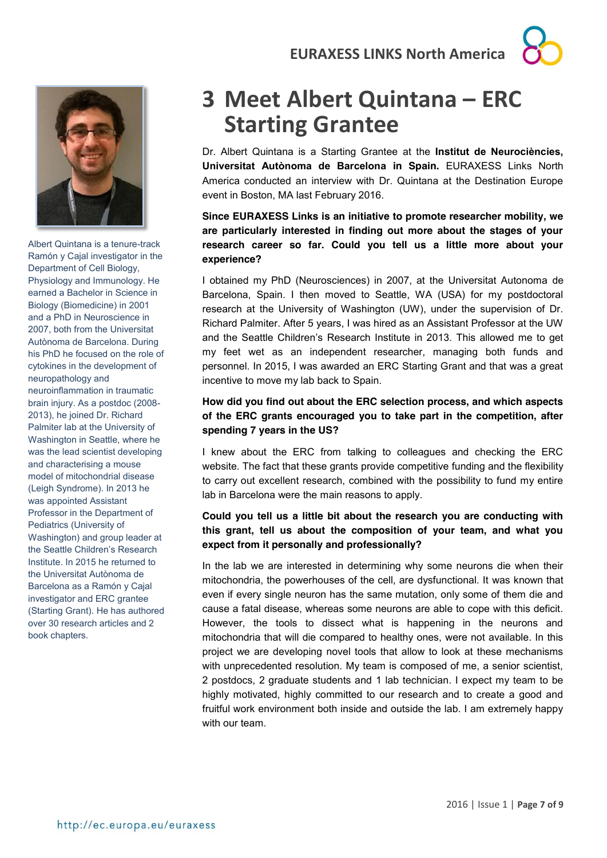



Albert Quintana is a tenure-track Ramón y Cajal investigator in the Department of Cell Biology, Physiology and Immunology. He earned a Bachelor in Science in Biology (Biomedicine) in 2001 and a PhD in Neuroscience in 2007, both from the Universitat Autònoma de Barcelona. During his PhD he focused on the role of cytokines in the development of neuropathology and neuroinflammation in traumatic brain injury. As a postdoc (2008- 2013), he joined Dr. Richard Palmiter lab at the University of Washington in Seattle, where he was the lead scientist developing and characterising a mouse model of mitochondrial disease (Leigh Syndrome). In 2013 he was appointed Assistant Professor in the Department of Pediatrics (University of Washington) and group leader at the Seattle Children's Research Institute. In 2015 he returned to the Universitat Autònoma de Barcelona as a Ramón y Cajal investigator and ERC grantee (Starting Grant). He has authored over 30 research articles and 2 book chapters.

# <span id="page-6-0"></span>**3 Meet Albert Quintana – ERC Starting Grantee**

Dr. Albert Quintana is a Starting Grantee at the **Institut de Neurociències, Universitat Autònoma de Barcelona in Spain.** EURAXESS Links North America conducted an interview with Dr. Quintana at the Destination Europe event in Boston, MA last February 2016.

**Since EURAXESS Links is an initiative to promote researcher mobility, we are particularly interested in finding out more about the stages of your research career so far. Could you tell us a little more about your experience?**

I obtained my PhD (Neurosciences) in 2007, at the Universitat Autonoma de Barcelona, Spain. I then moved to Seattle, WA (USA) for my postdoctoral research at the University of Washington (UW), under the supervision of Dr. Richard Palmiter. After 5 years, I was hired as an Assistant Professor at the UW and the Seattle Children's Research Institute in 2013. This allowed me to get my feet wet as an independent researcher, managing both funds and personnel. In 2015, I was awarded an ERC Starting Grant and that was a great incentive to move my lab back to Spain.

### **How did you find out about the ERC selection process, and which aspects of the ERC grants encouraged you to take part in the competition, after spending 7 years in the US?**

I knew about the ERC from talking to colleagues and checking the ERC website. The fact that these grants provide competitive funding and the flexibility to carry out excellent research, combined with the possibility to fund my entire lab in Barcelona were the main reasons to apply.

### **Could you tell us a little bit about the research you are conducting with this grant, tell us about the composition of your team, and what you expect from it personally and professionally?**

In the lab we are interested in determining why some neurons die when their mitochondria, the powerhouses of the cell, are dysfunctional. It was known that even if every single neuron has the same mutation, only some of them die and cause a fatal disease, whereas some neurons are able to cope with this deficit. However, the tools to dissect what is happening in the neurons and mitochondria that will die compared to healthy ones, were not available. In this project we are developing novel tools that allow to look at these mechanisms with unprecedented resolution. My team is composed of me, a senior scientist, 2 postdocs, 2 graduate students and 1 lab technician. I expect my team to be highly motivated, highly committed to our research and to create a good and fruitful work environment both inside and outside the lab. I am extremely happy with our team.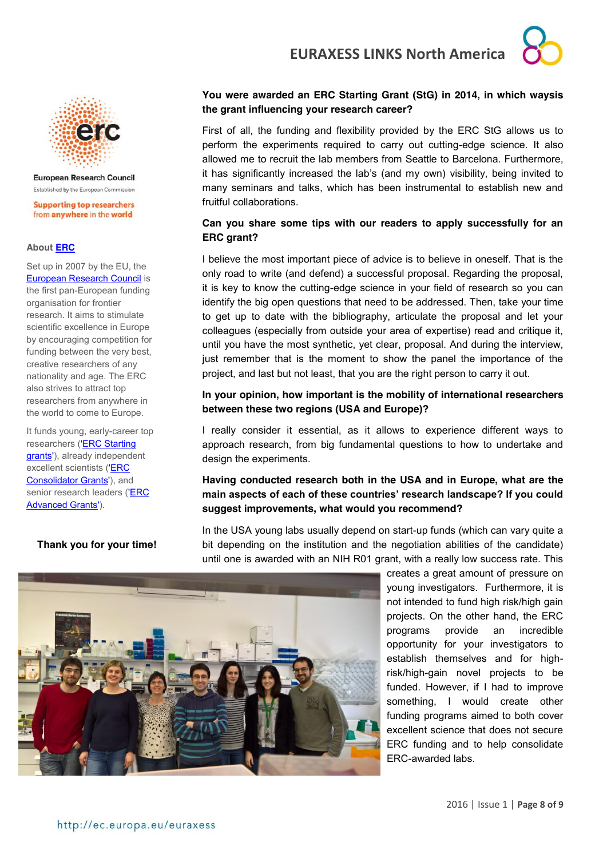

# erc

**European Research Council** Established by the European Commission

**Supporting top researchers** from anywhere in the world

#### **About [ERC](http://erc.europa.eu/about-erc)**

Set up in 2007 by the EU, the [European Research Council](http://erc.europa.eu/about-erc) is the first pan-European funding organisation for frontier research. It aims to stimulate scientific excellence in Europe by encouraging competition for funding between the very best, creative researchers of any nationality and age. The ERC also strives to attract top researchers from anywhere in the world to come to Europe.

It funds young, early-career top researchers [\('ERC Starting](http://erc.europa.eu/funding-and-grants/funding-schemes/starting-grants)  [grants'\)](http://erc.europa.eu/funding-and-grants/funding-schemes/starting-grants), already independent excellent scientists [\('ERC](http://erc.europa.eu/funding-and-grants/funding-schemes/consolidator-grants) [Consolidator Grants'\)](http://erc.europa.eu/funding-and-grants/funding-schemes/consolidator-grants), and senior research leaders [\('ERC](http://erc.europa.eu/funding-and-grants/funding-schemes/advanced-grants)  [Advanced Grants'\)](http://erc.europa.eu/funding-and-grants/funding-schemes/advanced-grants).

#### **Thank you for your time!**

### **You were awarded an ERC Starting Grant (StG) in 2014, in which waysis the grant influencing your research career?**

First of all, the funding and flexibility provided by the ERC StG allows us to perform the experiments required to carry out cutting-edge science. It also allowed me to recruit the lab members from Seattle to Barcelona. Furthermore, it has significantly increased the lab's (and my own) visibility, being invited to many seminars and talks, which has been instrumental to establish new and fruitful collaborations.

#### **Can you share some tips with our readers to apply successfully for an ERC grant?**

I believe the most important piece of advice is to believe in oneself. That is the only road to write (and defend) a successful proposal. Regarding the proposal, it is key to know the cutting-edge science in your field of research so you can identify the big open questions that need to be addressed. Then, take your time to get up to date with the bibliography, articulate the proposal and let your colleagues (especially from outside your area of expertise) read and critique it, until you have the most synthetic, yet clear, proposal. And during the interview, just remember that is the moment to show the panel the importance of the project, and last but not least, that you are the right person to carry it out.

#### **In your opinion, how important is the mobility of international researchers between these two regions (USA and Europe)?**

I really consider it essential, as it allows to experience different ways to approach research, from big fundamental questions to how to undertake and design the experiments.

#### **Having conducted research both in the USA and in Europe, what are the main aspects of each of these countries' research landscape? If you could suggest improvements, what would you recommend?**

In the USA young labs usually depend on start-up funds (which can vary quite a bit depending on the institution and the negotiation abilities of the candidate) until one is awarded with an NIH R01 grant, with a really low success rate. This



creates a great amount of pressure on young investigators. Furthermore, it is not intended to fund high risk/high gain projects. On the other hand, the ERC programs provide an incredible opportunity for your investigators to establish themselves and for highrisk/high-gain novel projects to be funded. However, if I had to improve something, I would create other funding programs aimed to both cover excellent science that does not secure ERC funding and to help consolidate ERC-awarded labs.